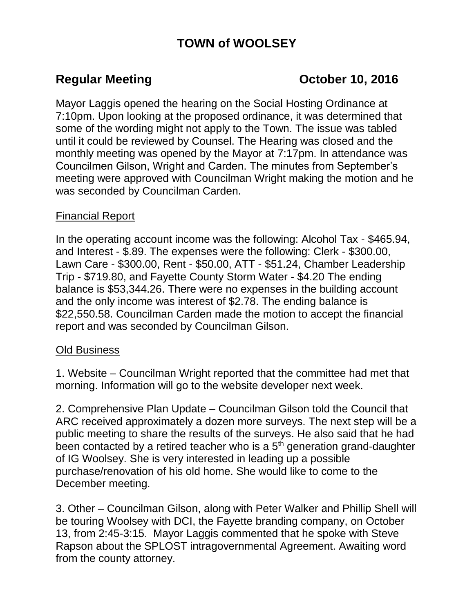# **TOWN of WOOLSEY**

# **Regular Meeting Constraining Community Constraining Constraining Constraining Constraining Constraining Constraining Constraining Constraining Constraining Constraining Constraining Constraining Constraining Constraining**

Mayor Laggis opened the hearing on the Social Hosting Ordinance at 7:10pm. Upon looking at the proposed ordinance, it was determined that some of the wording might not apply to the Town. The issue was tabled until it could be reviewed by Counsel. The Hearing was closed and the monthly meeting was opened by the Mayor at 7:17pm. In attendance was Councilmen Gilson, Wright and Carden. The minutes from September's meeting were approved with Councilman Wright making the motion and he was seconded by Councilman Carden.

## Financial Report

In the operating account income was the following: Alcohol Tax - \$465.94, and Interest - \$.89. The expenses were the following: Clerk - \$300.00, Lawn Care - \$300.00, Rent - \$50.00, ATT - \$51.24, Chamber Leadership Trip - \$719.80, and Fayette County Storm Water - \$4.20 The ending balance is \$53,344.26. There were no expenses in the building account and the only income was interest of \$2.78. The ending balance is \$22,550.58. Councilman Carden made the motion to accept the financial report and was seconded by Councilman Gilson.

### Old Business

1. Website – Councilman Wright reported that the committee had met that morning. Information will go to the website developer next week.

2. Comprehensive Plan Update – Councilman Gilson told the Council that ARC received approximately a dozen more surveys. The next step will be a public meeting to share the results of the surveys. He also said that he had been contacted by a retired teacher who is a  $5<sup>th</sup>$  generation grand-daughter of IG Woolsey. She is very interested in leading up a possible purchase/renovation of his old home. She would like to come to the December meeting.

3. Other – Councilman Gilson, along with Peter Walker and Phillip Shell will be touring Woolsey with DCI, the Fayette branding company, on October 13, from 2:45-3:15. Mayor Laggis commented that he spoke with Steve Rapson about the SPLOST intragovernmental Agreement. Awaiting word from the county attorney.